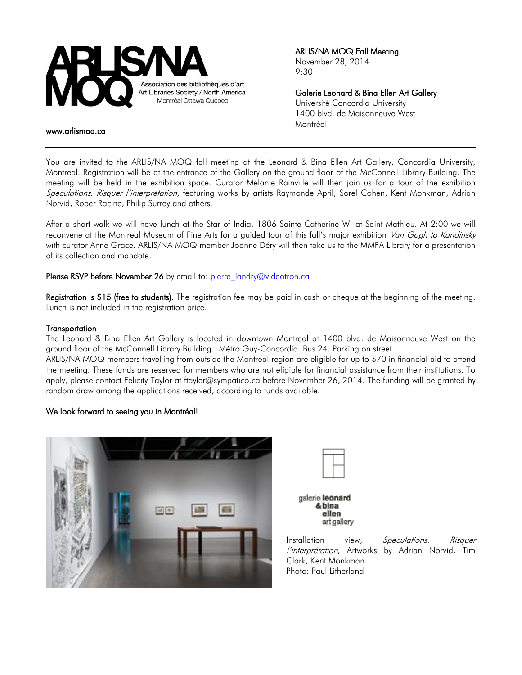

ARLIS/NA MOQ Fall Meeting November 28, 2014 9:30

Galerie Leonard & Bina Ellen Art Gallery Université Concordia University 1400 blvd. de Maisonneuve West Montréal

#### www.arlismoq.ca

You are invited to the ARLIS/NA MOQ fall meeting at the Leonard & Bina Ellen Art Gallery, Concordia University, Montreal. Registration will be at the entrance of the Gallery on the ground floor of the McConnell Library Building. The meeting will be held in the exhibition space. Curator Mélanie Rainville will then join us for a tour of the exhibition Speculations. Risquer l'interprétation, featuring works by artists Raymonde April, Sorel Cohen, Kent Monkman, Adrian Norvid, Rober Racine, Philip Surrey and others.

After a short walk we will have lunch at the Star of India, 1806 Sainte-Catherine W. at Saint-Mathieu. At 2:00 we will reconvene at the Montreal Museum of Fine Arts for a guided tour of this fall's major exhibition Van Gogh to Kandinsky with curator Anne Grace. ARLIS/NA MOQ member Joanne Déry will then take us to the MMFA Library for a presentation of its collection and mandate.

## Please RSVP before November 26 by email to: [pierre\\_landry@videotron.ca](mailto:pierre_landry@videotron.ca)

Registration is \$15 (free to students). The registration fee may be paid in cash or cheque at the beginning of the meeting. Lunch is not included in the registration price.

#### **Transportation**

The Leonard & Bina Ellen Art Gallery is located in downtown Montreal at 1400 blvd. de Maisonneuve West on the ground floor of the McConnell Library Building. Métro Guy-Concordia. Bus 24. Parking on street.

ARLIS/NA MOQ members travelling from outside the Montreal region are eligible for up to \$70 in financial aid to attend the meeting. These funds are reserved for members who are not eligible for financial assistance from their institutions. To apply, please contact Felicity Taylor at ftayler@sympatico.ca before November 26, 2014. The funding will be granted by random draw among the applications received, according to funds available.

## We look forward to seeing you in Montréal!





galerie leonard & bina ellen art gallery

Installation view, Speculations. Risquer l'interprétation, Artworks by Adrian Norvid, Tim Clark, Kent Monkman Photo: Paul Litherland